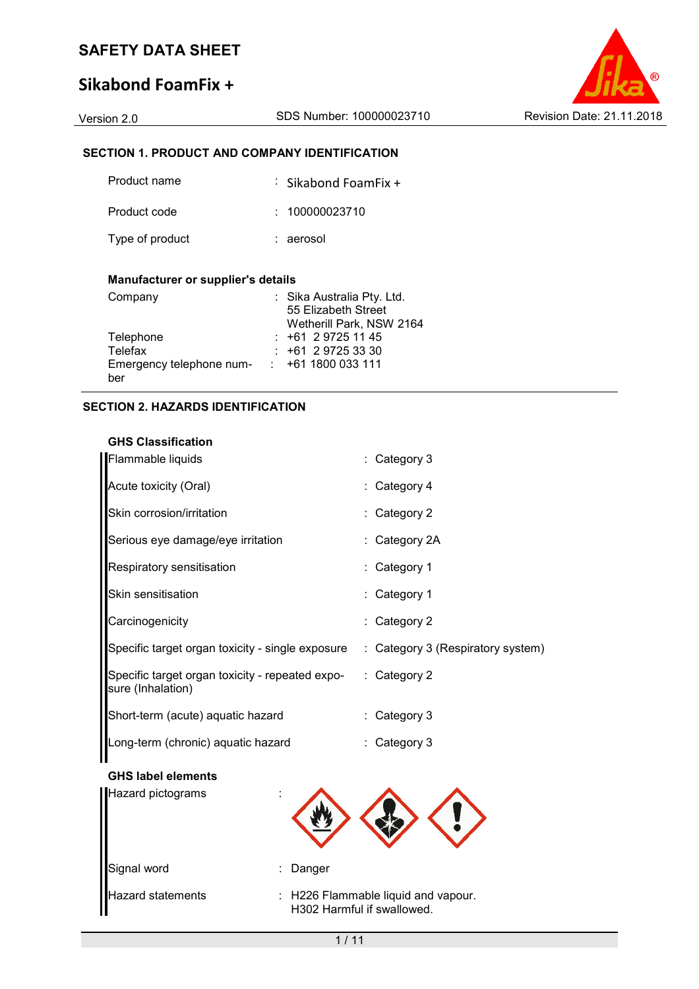# **Sikabond FoamFix +**

# **SECTION 1. PRODUCT AND COMPANY IDENTIFICATION**

| Product name    | $\therefore$ Sikabond FoamFix + |
|-----------------|---------------------------------|
| Product code    | : 100000023710                  |
| Type of product | : aerosol                       |

## **Manufacturer or supplier's details**

| Company                  | : Sika Australia Pty. Ltd. |
|--------------------------|----------------------------|
|                          | 55 Elizabeth Street        |
|                          | Wetherill Park, NSW 2164   |
| Telephone                | $: +61297251145$           |
| Telefax                  | $: +61297253330$           |
| Emergency telephone num- | $\div$ +61 1800 033 111    |
| ber                      |                            |

## **SECTION 2. HAZARDS IDENTIFICATION**

# **GHS Classification**

| Flammable liquids                                                    | : Category 3                      |
|----------------------------------------------------------------------|-----------------------------------|
| Acute toxicity (Oral)                                                | : Category 4                      |
| Skin corrosion/irritation                                            | : Category 2                      |
| Serious eye damage/eye irritation                                    | : Category 2A                     |
| Respiratory sensitisation                                            | : Category 1                      |
| Skin sensitisation                                                   | : Category 1                      |
| Carcinogenicity                                                      | : Category 2                      |
| Specific target organ toxicity - single exposure                     | : Category 3 (Respiratory system) |
| Specific target organ toxicity - repeated expo-<br>sure (Inhalation) | $\therefore$ Category 2           |
| Short-term (acute) aquatic hazard                                    | : Category 3                      |
| Long-term (chronic) aquatic hazard                                   | : Category 3                      |

#### **GHS label elements**

| Hazard pictograms<br>٠<br>٠ |                                                                   |
|-----------------------------|-------------------------------------------------------------------|
| Signal word<br>÷            | Danger                                                            |
| <b>Hazard statements</b>    | : H226 Flammable liquid and vapour.<br>H302 Harmful if swallowed. |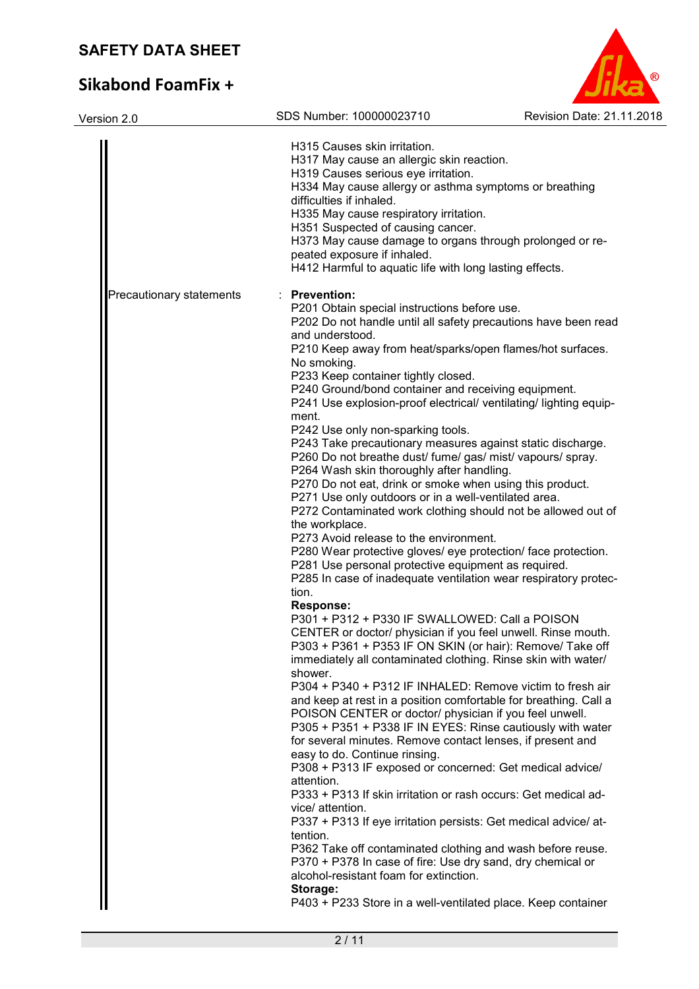# **Sikabond**

| <b>SAFETY DATA SHEET</b>  |                                                                                                                                                                                                                                                                                                                                                                                                                                                                                                                                                                                                                                                                                                                                                                                                                                                                                                                                                                                                                                                                                                                                                                                                                                                                                                                                                                                                                                                                                                                                                                                                                                                                                                                                                                                                                                                                                                                                                                                                                                                                                                                                                                                                               |                           |
|---------------------------|---------------------------------------------------------------------------------------------------------------------------------------------------------------------------------------------------------------------------------------------------------------------------------------------------------------------------------------------------------------------------------------------------------------------------------------------------------------------------------------------------------------------------------------------------------------------------------------------------------------------------------------------------------------------------------------------------------------------------------------------------------------------------------------------------------------------------------------------------------------------------------------------------------------------------------------------------------------------------------------------------------------------------------------------------------------------------------------------------------------------------------------------------------------------------------------------------------------------------------------------------------------------------------------------------------------------------------------------------------------------------------------------------------------------------------------------------------------------------------------------------------------------------------------------------------------------------------------------------------------------------------------------------------------------------------------------------------------------------------------------------------------------------------------------------------------------------------------------------------------------------------------------------------------------------------------------------------------------------------------------------------------------------------------------------------------------------------------------------------------------------------------------------------------------------------------------------------------|---------------------------|
| <b>Sikabond FoamFix +</b> |                                                                                                                                                                                                                                                                                                                                                                                                                                                                                                                                                                                                                                                                                                                                                                                                                                                                                                                                                                                                                                                                                                                                                                                                                                                                                                                                                                                                                                                                                                                                                                                                                                                                                                                                                                                                                                                                                                                                                                                                                                                                                                                                                                                                               |                           |
| Version 2.0               | SDS Number: 100000023710                                                                                                                                                                                                                                                                                                                                                                                                                                                                                                                                                                                                                                                                                                                                                                                                                                                                                                                                                                                                                                                                                                                                                                                                                                                                                                                                                                                                                                                                                                                                                                                                                                                                                                                                                                                                                                                                                                                                                                                                                                                                                                                                                                                      | Revision Date: 21.11.2018 |
|                           | H315 Causes skin irritation.<br>H317 May cause an allergic skin reaction.<br>H319 Causes serious eye irritation.<br>H334 May cause allergy or asthma symptoms or breathing<br>difficulties if inhaled.<br>H335 May cause respiratory irritation.<br>H351 Suspected of causing cancer.<br>H373 May cause damage to organs through prolonged or re-<br>peated exposure if inhaled.<br>H412 Harmful to aquatic life with long lasting effects.                                                                                                                                                                                                                                                                                                                                                                                                                                                                                                                                                                                                                                                                                                                                                                                                                                                                                                                                                                                                                                                                                                                                                                                                                                                                                                                                                                                                                                                                                                                                                                                                                                                                                                                                                                   |                           |
| Precautionary statements  | : Prevention:<br>P201 Obtain special instructions before use.<br>P202 Do not handle until all safety precautions have been read<br>and understood.<br>P210 Keep away from heat/sparks/open flames/hot surfaces.<br>No smoking.<br>P233 Keep container tightly closed.<br>P240 Ground/bond container and receiving equipment.<br>P241 Use explosion-proof electrical/ ventilating/ lighting equip-<br>ment.<br>P242 Use only non-sparking tools.<br>P243 Take precautionary measures against static discharge.<br>P260 Do not breathe dust/ fume/ gas/ mist/ vapours/ spray.<br>P264 Wash skin thoroughly after handling.<br>P270 Do not eat, drink or smoke when using this product.<br>P271 Use only outdoors or in a well-ventilated area.<br>P272 Contaminated work clothing should not be allowed out of<br>the workplace.<br>P273 Avoid release to the environment.<br>P280 Wear protective gloves/ eye protection/ face protection.<br>P281 Use personal protective equipment as required.<br>P285 In case of inadequate ventilation wear respiratory protec-<br>tion.<br>Response:<br>P301 + P312 + P330 IF SWALLOWED: Call a POISON<br>CENTER or doctor/ physician if you feel unwell. Rinse mouth.<br>P303 + P361 + P353 IF ON SKIN (or hair): Remove/ Take off<br>immediately all contaminated clothing. Rinse skin with water/<br>shower.<br>P304 + P340 + P312 IF INHALED: Remove victim to fresh air<br>and keep at rest in a position comfortable for breathing. Call a<br>POISON CENTER or doctor/ physician if you feel unwell.<br>P305 + P351 + P338 IF IN EYES: Rinse cautiously with water<br>for several minutes. Remove contact lenses, if present and<br>easy to do. Continue rinsing.<br>P308 + P313 IF exposed or concerned: Get medical advice/<br>attention.<br>P333 + P313 If skin irritation or rash occurs: Get medical ad-<br>vice/ attention.<br>P337 + P313 If eye irritation persists: Get medical advice/ at-<br>tention.<br>P362 Take off contaminated clothing and wash before reuse.<br>P370 + P378 In case of fire: Use dry sand, dry chemical or<br>alcohol-resistant foam for extinction.<br>Storage:<br>P403 + P233 Store in a well-ventilated place. Keep container |                           |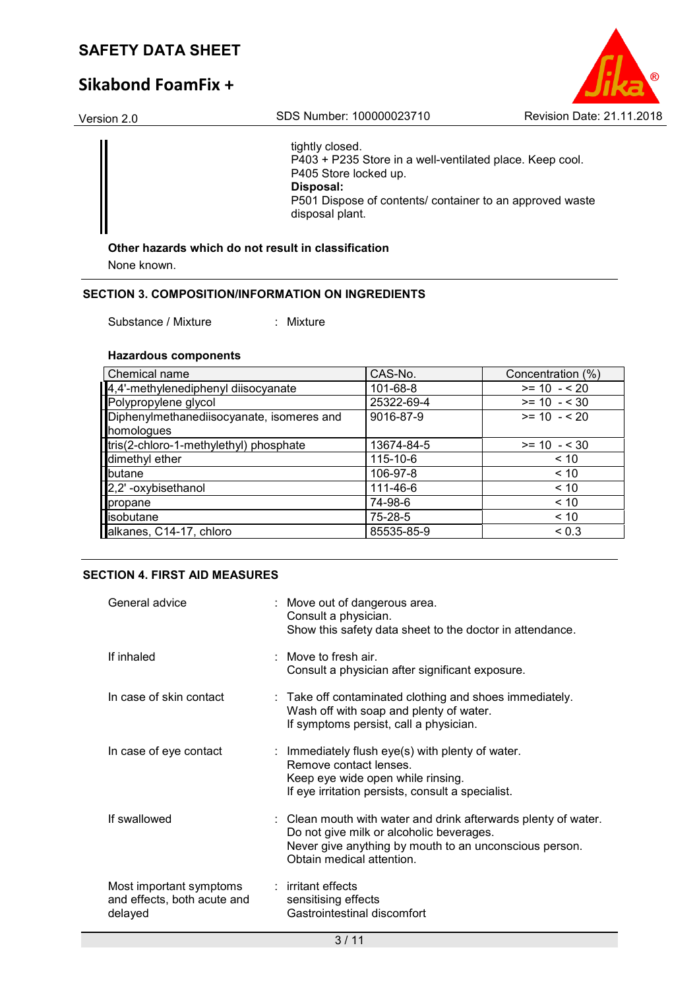# **Sikabond FoamFix +**



tightly closed. P403 + P235 Store in a well-ventilated place. Keep cool. P405 Store locked up. **Disposal:**  P501 Dispose of contents/ container to an approved waste disposal plant.

# **Other hazards which do not result in classification**

None known.

#### **SECTION 3. COMPOSITION/INFORMATION ON INGREDIENTS**

Substance / Mixture : Mixture

#### **Hazardous components**

| <b>Chemical name</b>                      | CAS-No.    | Concentration (%) |
|-------------------------------------------|------------|-------------------|
| 4,4'-methylenediphenyl diisocyanate       | 101-68-8   | $>= 10 - 520$     |
| Polypropylene glycol                      | 25322-69-4 | $>= 10 - 530$     |
| Diphenylmethanediisocyanate, isomeres and | 9016-87-9  | $>= 10 - 520$     |
| homologues                                |            |                   |
| tris(2-chloro-1-methylethyl) phosphate    | 13674-84-5 | $>= 10 - 530$     |
| dimethyl ether                            | 115-10-6   | < 10              |
| butane                                    | 106-97-8   | < 10              |
| 2,2' -oxybisethanol                       | 111-46-6   | < 10              |
| propane                                   | 74-98-6    | < 10              |
| isobutane                                 | 75-28-5    | < 10              |
| alkanes, C14-17, chloro                   | 85535-85-9 | ${}_{0.3}$        |

## **SECTION 4. FIRST AID MEASURES**

| General advice                                                    | : Move out of dangerous area.<br>Consult a physician.<br>Show this safety data sheet to the doctor in attendance.                                                                                 |
|-------------------------------------------------------------------|---------------------------------------------------------------------------------------------------------------------------------------------------------------------------------------------------|
| If inhaled                                                        | : Move to fresh air.<br>Consult a physician after significant exposure.                                                                                                                           |
| In case of skin contact                                           | : Take off contaminated clothing and shoes immediately.<br>Wash off with soap and plenty of water.<br>If symptoms persist, call a physician.                                                      |
| In case of eye contact                                            | : Immediately flush eye(s) with plenty of water.<br>Remove contact lenses.<br>Keep eye wide open while rinsing.<br>If eye irritation persists, consult a specialist.                              |
| If swallowed                                                      | : Clean mouth with water and drink afterwards plenty of water.<br>Do not give milk or alcoholic beverages.<br>Never give anything by mouth to an unconscious person.<br>Obtain medical attention. |
| Most important symptoms<br>and effects, both acute and<br>delayed | : irritant effects<br>sensitising effects<br>Gastrointestinal discomfort                                                                                                                          |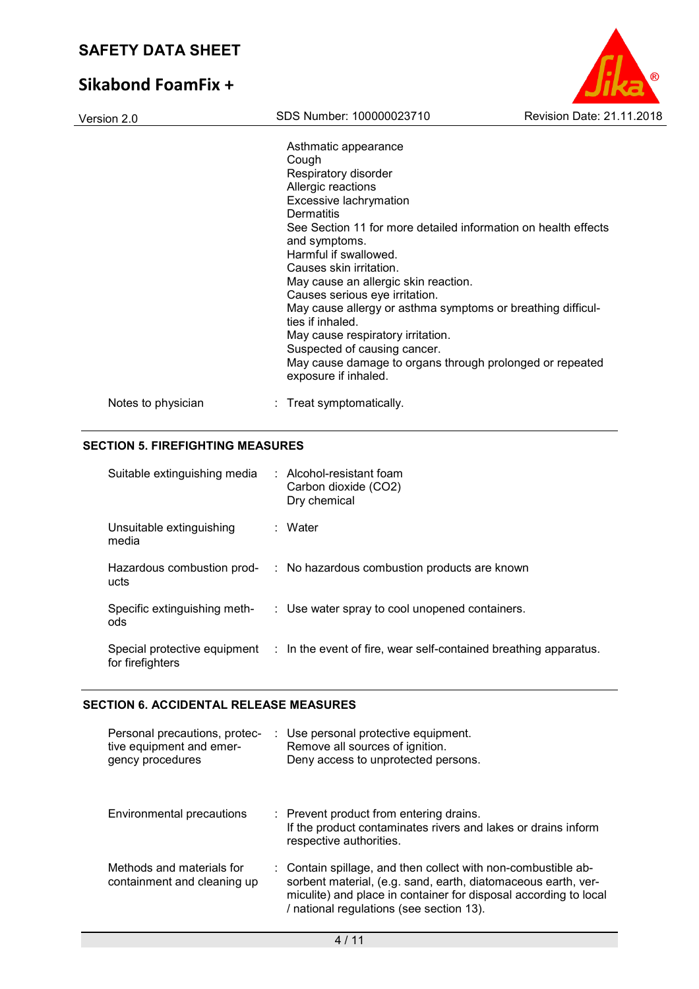# **Sikabond FoamFix +**

| Version 2.0        | SDS Number: 100000023710                                                         | Revision Date: 21.11.2018 |
|--------------------|----------------------------------------------------------------------------------|---------------------------|
|                    | Asthmatic appearance                                                             |                           |
|                    | Cough                                                                            |                           |
|                    | Respiratory disorder                                                             |                           |
|                    | Allergic reactions                                                               |                           |
|                    | Excessive lachrymation                                                           |                           |
|                    | Dermatitis                                                                       |                           |
|                    | See Section 11 for more detailed information on health effects                   |                           |
|                    | and symptoms.                                                                    |                           |
|                    | Harmful if swallowed.                                                            |                           |
|                    | Causes skin irritation.                                                          |                           |
|                    | May cause an allergic skin reaction.                                             |                           |
|                    | Causes serious eye irritation.                                                   |                           |
|                    | May cause allergy or asthma symptoms or breathing difficul-<br>ties if inhaled.  |                           |
|                    | May cause respiratory irritation.                                                |                           |
|                    | Suspected of causing cancer.                                                     |                           |
|                    | May cause damage to organs through prolonged or repeated<br>exposure if inhaled. |                           |
| Notes to physician | : Treat symptomatically.                                                         |                           |

 $\circledR$ 

# **SECTION 5. FIREFIGHTING MEASURES**

| Suitable extinguishing media                     | $\therefore$ Alcohol-resistant foam<br>Carbon dioxide (CO2)<br>Dry chemical |  |
|--------------------------------------------------|-----------------------------------------------------------------------------|--|
| Unsuitable extinguishing<br>media                | : Water                                                                     |  |
| Hazardous combustion prod-<br>ucts               | : No hazardous combustion products are known                                |  |
| Specific extinguishing meth-<br>ods              | : Use water spray to cool unopened containers.                              |  |
| Special protective equipment<br>for firefighters | : In the event of fire, wear self-contained breathing apparatus.            |  |

# **SECTION 6. ACCIDENTAL RELEASE MEASURES**

| Personal precautions, protec-<br>tive equipment and emer-<br>gency procedures | : Use personal protective equipment.<br>Remove all sources of ignition.<br>Deny access to unprotected persons.                                                                                                                                 |
|-------------------------------------------------------------------------------|------------------------------------------------------------------------------------------------------------------------------------------------------------------------------------------------------------------------------------------------|
| Environmental precautions                                                     | : Prevent product from entering drains.<br>If the product contaminates rivers and lakes or drains inform<br>respective authorities.                                                                                                            |
| Methods and materials for<br>containment and cleaning up                      | : Contain spillage, and then collect with non-combustible ab-<br>sorbent material, (e.g. sand, earth, diatomaceous earth, ver-<br>miculite) and place in container for disposal according to local<br>/ national regulations (see section 13). |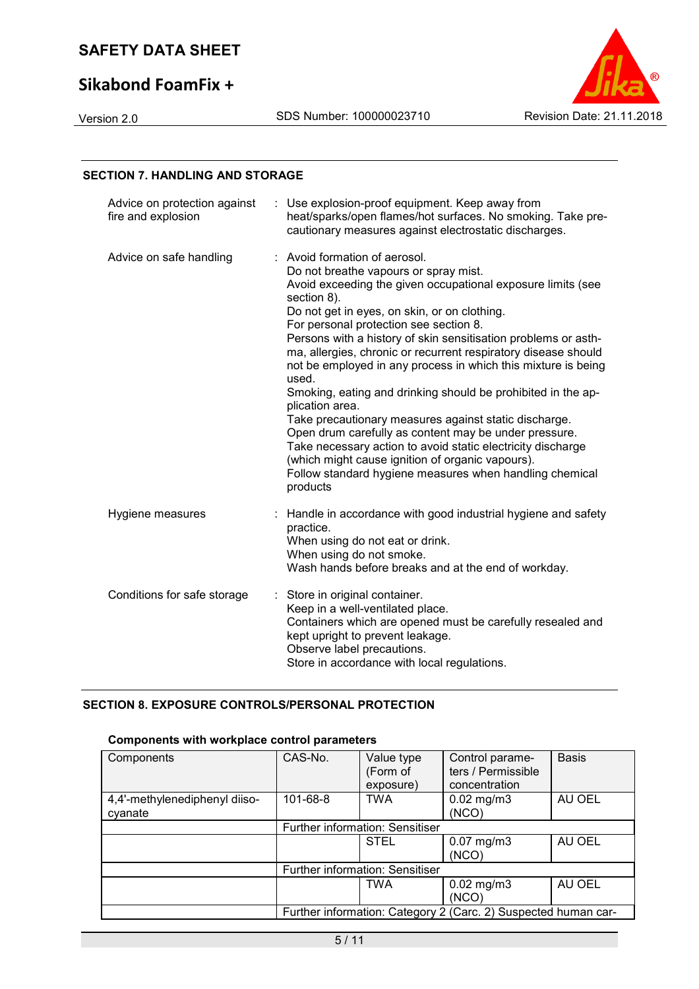# **Sikabond FoamFix +**



## **SECTION 7. HANDLING AND STORAGE**

| Advice on protection against<br>fire and explosion | Use explosion-proof equipment. Keep away from<br>heat/sparks/open flames/hot surfaces. No smoking. Take pre-<br>cautionary measures against electrostatic discharges.                                                                                                                                                                                                                                                                                                                                                                                                                                                                                                                                                                                                                                                                                       |
|----------------------------------------------------|-------------------------------------------------------------------------------------------------------------------------------------------------------------------------------------------------------------------------------------------------------------------------------------------------------------------------------------------------------------------------------------------------------------------------------------------------------------------------------------------------------------------------------------------------------------------------------------------------------------------------------------------------------------------------------------------------------------------------------------------------------------------------------------------------------------------------------------------------------------|
| Advice on safe handling                            | : Avoid formation of aerosol.<br>Do not breathe vapours or spray mist.<br>Avoid exceeding the given occupational exposure limits (see<br>section 8).<br>Do not get in eyes, on skin, or on clothing.<br>For personal protection see section 8.<br>Persons with a history of skin sensitisation problems or asth-<br>ma, allergies, chronic or recurrent respiratory disease should<br>not be employed in any process in which this mixture is being<br>used.<br>Smoking, eating and drinking should be prohibited in the ap-<br>plication area.<br>Take precautionary measures against static discharge.<br>Open drum carefully as content may be under pressure.<br>Take necessary action to avoid static electricity discharge<br>(which might cause ignition of organic vapours).<br>Follow standard hygiene measures when handling chemical<br>products |
| Hygiene measures                                   | : Handle in accordance with good industrial hygiene and safety<br>practice.<br>When using do not eat or drink.<br>When using do not smoke.<br>Wash hands before breaks and at the end of workday.                                                                                                                                                                                                                                                                                                                                                                                                                                                                                                                                                                                                                                                           |
| Conditions for safe storage                        | Store in original container.<br>Keep in a well-ventilated place.<br>Containers which are opened must be carefully resealed and<br>kept upright to prevent leakage.<br>Observe label precautions.<br>Store in accordance with local regulations.                                                                                                                                                                                                                                                                                                                                                                                                                                                                                                                                                                                                             |

# **SECTION 8. EXPOSURE CONTROLS/PERSONAL PROTECTION**

## **Components with workplace control parameters**

| Components                               | CAS-No.                                                        | Value type<br>(Form of<br>exposure) | Control parame-<br>ters / Permissible<br>concentration | <b>Basis</b> |
|------------------------------------------|----------------------------------------------------------------|-------------------------------------|--------------------------------------------------------|--------------|
| 4,4'-methylenediphenyl diiso-<br>cyanate | 101-68-8                                                       | <b>TWA</b>                          | $0.02$ mg/m $3$<br>(NCO)                               | AU OEL       |
|                                          |                                                                | Further information: Sensitiser     |                                                        |              |
|                                          |                                                                | <b>STEL</b>                         | $0.07$ mg/m $3$<br>(NCO)                               | AU OEL       |
|                                          | Further information: Sensitiser                                |                                     |                                                        |              |
|                                          |                                                                | TWA                                 | $0.02$ mg/m $3$<br>(NCO)                               | AU OEL       |
|                                          | Further information: Category 2 (Carc. 2) Suspected human car- |                                     |                                                        |              |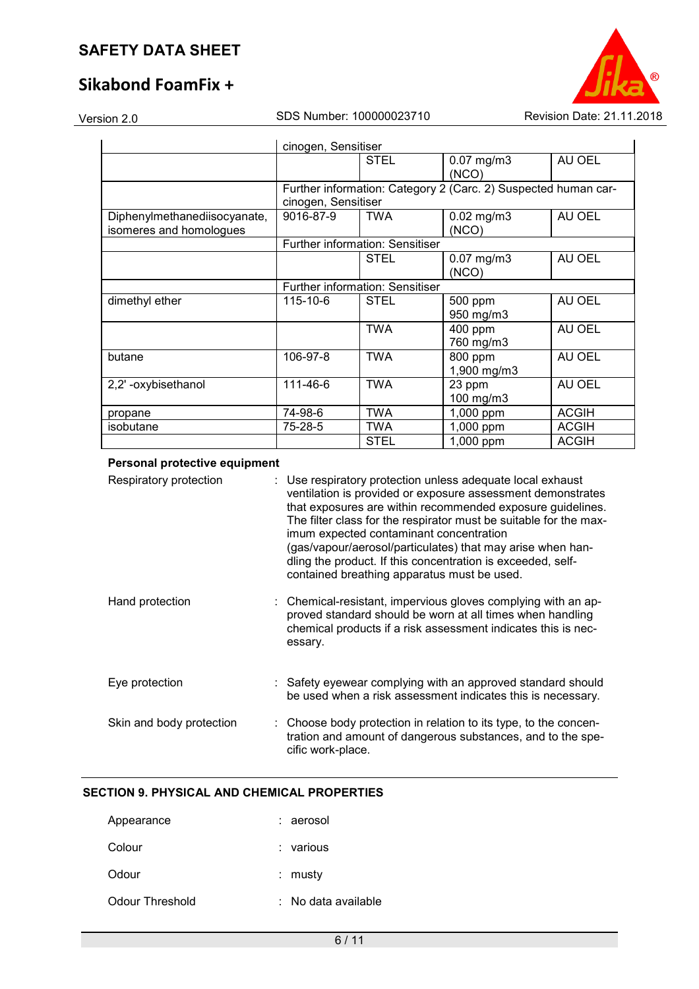# **Sikabond FoamFix +**

Version 2.0 SDS Number: 100000023710 Revision Date: 21.11.2018

|                                                         | cinogen, Sensitiser                                                                   |                                        |                          |              |
|---------------------------------------------------------|---------------------------------------------------------------------------------------|----------------------------------------|--------------------------|--------------|
|                                                         |                                                                                       | <b>STEL</b>                            | $0.07$ mg/m $3$<br>(NCO) | AU OEL       |
|                                                         | Further information: Category 2 (Carc. 2) Suspected human car-<br>cinogen, Sensitiser |                                        |                          |              |
| Diphenylmethanediisocyanate,<br>isomeres and homologues | 9016-87-9                                                                             | <b>TWA</b>                             | $0.02$ mg/m $3$<br>(NCO) | AU OEL       |
|                                                         |                                                                                       | <b>Further information: Sensitiser</b> |                          |              |
|                                                         |                                                                                       | <b>STEL</b>                            | $0.07$ mg/m $3$<br>(NCO) | AU OEL       |
|                                                         | Further information: Sensitiser                                                       |                                        |                          |              |
| dimethyl ether                                          | $115 - 10 - 6$                                                                        | <b>STEL</b>                            | 500 ppm<br>950 mg/m3     | AU OEL       |
|                                                         |                                                                                       | <b>TWA</b>                             | 400 ppm<br>760 mg/m3     | AU OEL       |
| butane                                                  | 106-97-8                                                                              | <b>TWA</b>                             | 800 ppm<br>1,900 mg/m3   | AU OEL       |
| 2,2' -oxybisethanol                                     | 111-46-6                                                                              | <b>TWA</b>                             | 23 ppm<br>100 mg/m3      | AU OEL       |
| propane                                                 | 74-98-6                                                                               | <b>TWA</b>                             | 1,000 ppm                | <b>ACGIH</b> |
| isobutane                                               | 75-28-5                                                                               | TWA                                    | 1,000 ppm                | <b>ACGIH</b> |
|                                                         |                                                                                       | <b>STEL</b>                            | 1,000 ppm                | <b>ACGIH</b> |

## **Personal protective equipment**

| Respiratory protection   | : Use respiratory protection unless adequate local exhaust<br>ventilation is provided or exposure assessment demonstrates<br>that exposures are within recommended exposure guidelines.<br>The filter class for the respirator must be suitable for the max-<br>imum expected contaminant concentration<br>(gas/vapour/aerosol/particulates) that may arise when han-<br>dling the product. If this concentration is exceeded, self-<br>contained breathing apparatus must be used. |
|--------------------------|-------------------------------------------------------------------------------------------------------------------------------------------------------------------------------------------------------------------------------------------------------------------------------------------------------------------------------------------------------------------------------------------------------------------------------------------------------------------------------------|
| Hand protection          | : Chemical-resistant, impervious gloves complying with an ap-<br>proved standard should be worn at all times when handling<br>chemical products if a risk assessment indicates this is nec-<br>essary.                                                                                                                                                                                                                                                                              |
| Eye protection           | : Safety eyewear complying with an approved standard should<br>be used when a risk assessment indicates this is necessary.                                                                                                                                                                                                                                                                                                                                                          |
| Skin and body protection | : Choose body protection in relation to its type, to the concen-<br>tration and amount of dangerous substances, and to the spe-<br>cific work-place.                                                                                                                                                                                                                                                                                                                                |

# **SECTION 9. PHYSICAL AND CHEMICAL PROPERTIES**

| Appearance      | : aerosol           |
|-----------------|---------------------|
| Colour          | ∶ various           |
| Odour           | : musty             |
| Odour Threshold | : No data available |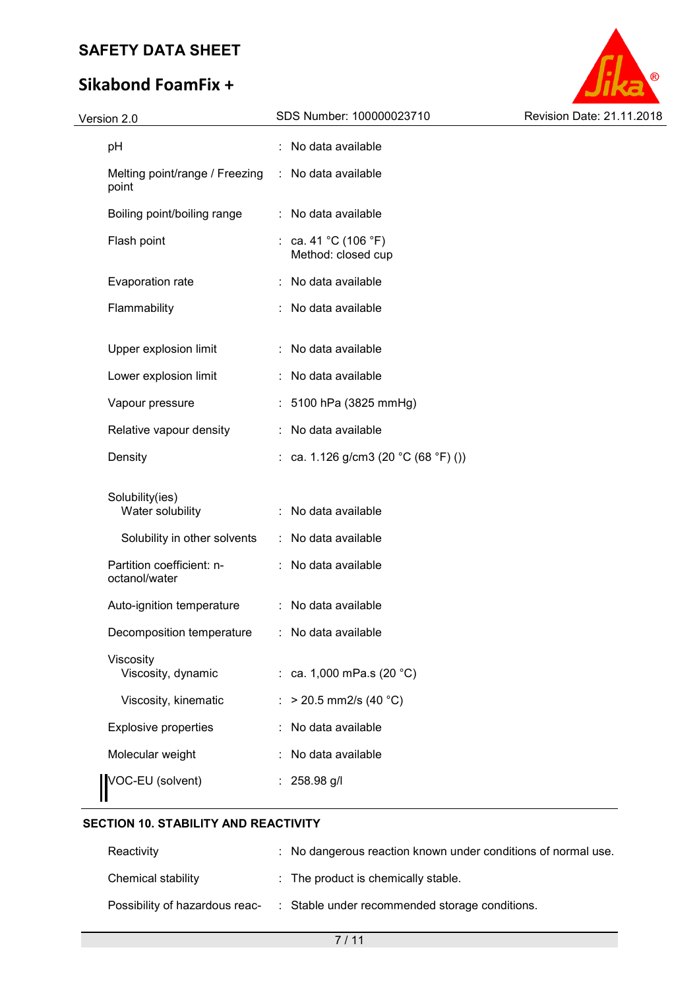# **Sikabond FoamFix +**



| Version 2.0                             | SDS Number: 100000023710                   | Revision Date: 21.11.2018 |
|-----------------------------------------|--------------------------------------------|---------------------------|
| pH                                      | : No data available                        |                           |
| Melting point/range / Freezing<br>point | : No data available                        |                           |
| Boiling point/boiling range             | : No data available                        |                           |
| Flash point                             | : ca. 41 °C (106 °F)<br>Method: closed cup |                           |
| Evaporation rate                        | : No data available                        |                           |
| Flammability                            | : No data available                        |                           |
| Upper explosion limit                   | : No data available                        |                           |
| Lower explosion limit                   | : No data available                        |                           |
| Vapour pressure                         | : 5100 hPa (3825 mmHg)                     |                           |
| Relative vapour density                 | : No data available                        |                           |
| Density                                 | : ca. 1.126 g/cm3 (20 °C (68 °F) ())       |                           |
| Solubility(ies)<br>Water solubility     | : No data available                        |                           |
| Solubility in other solvents            | : No data available                        |                           |
| Partition coefficient: n-               | : No data available                        |                           |
| octanol/water                           |                                            |                           |
| Auto-ignition temperature               | : No data available                        |                           |
| Decomposition temperature               | : No data available                        |                           |
| Viscosity<br>Viscosity, dynamic         | : ca. 1,000 mPa.s $(20 °C)$                |                           |
| Viscosity, kinematic                    | : > 20.5 mm2/s (40 °C)                     |                           |
| Explosive properties                    | : No data available                        |                           |
| Molecular weight                        | : No data available                        |                           |
| VOC-EU (solvent)                        | $: 258.98$ g/l                             |                           |

# **SECTION 10. STABILITY AND REACTIVITY**

| Reactivity                     | : No dangerous reaction known under conditions of normal use. |
|--------------------------------|---------------------------------------------------------------|
| Chemical stability             | $\therefore$ The product is chemically stable.                |
| Possibility of hazardous reac- | : Stable under recommended storage conditions.                |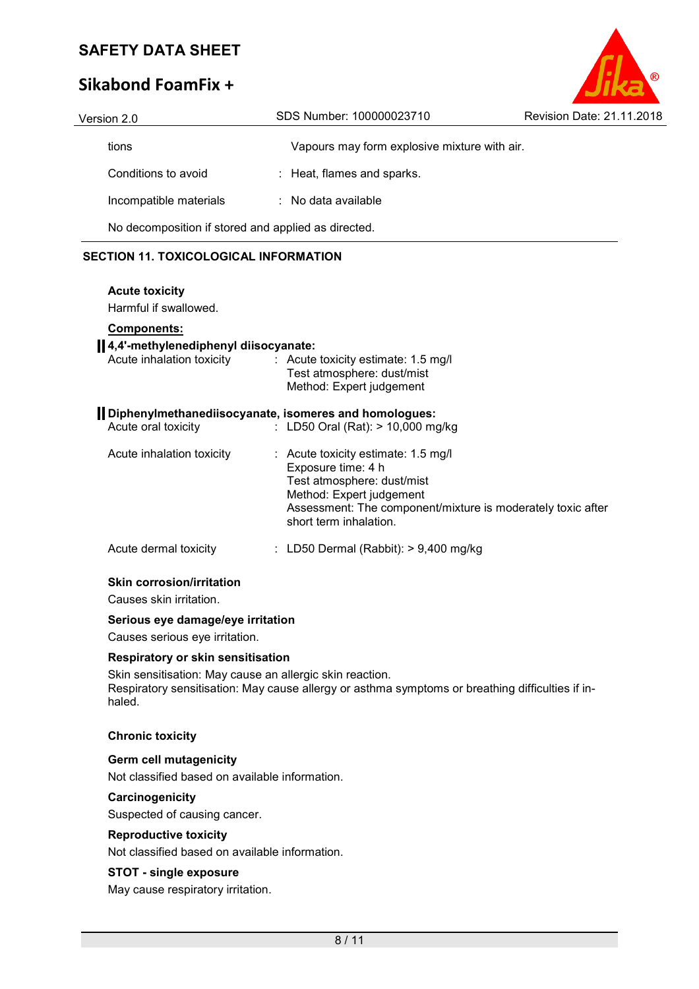# **Sikabond FoamFix +**

| Version 2.0            | SDS Number: 100000023710                            | Revision Date: 21.11.2018 |
|------------------------|-----------------------------------------------------|---------------------------|
| tions                  | Vapours may form explosive mixture with air.        |                           |
| Conditions to avoid    | : Heat, flames and sparks.                          |                           |
| Incompatible materials | $\therefore$ No data available                      |                           |
|                        | No decomposition if stored and applied as directed. |                           |

# **SECTION 11. TOXICOLOGICAL INFORMATION**

#### **Acute toxicity**

Harmful if swallowed.

## **Components:**

# **4,4'-methylenediphenyl diisocyanate:**  Acute inhalation toxicity : Acute toxicity estimate: 1.5 mg/l Test atmosphere: dust/mist Method: Expert judgement **Diphenylmethanediisocyanate, isomeres and homologues:**  Acute oral toxicity : LD50 Oral (Rat): > 10,000 mg/kg Acute inhalation toxicity : Acute toxicity estimate: 1.5 mg/l Exposure time: 4 h Test atmosphere: dust/mist Method: Expert judgement Assessment: The component/mixture is moderately toxic after short term inhalation. Acute dermal toxicity : LD50 Dermal (Rabbit): > 9,400 mg/kg

#### **Skin corrosion/irritation**

Causes skin irritation.

#### **Serious eye damage/eye irritation**

Causes serious eye irritation.

#### **Respiratory or skin sensitisation**

Skin sensitisation: May cause an allergic skin reaction. Respiratory sensitisation: May cause allergy or asthma symptoms or breathing difficulties if inhaled.

#### **Chronic toxicity**

#### **Germ cell mutagenicity**

Not classified based on available information.

#### **Carcinogenicity**

Suspected of causing cancer.

#### **Reproductive toxicity**

Not classified based on available information.

#### **STOT - single exposure**

May cause respiratory irritation.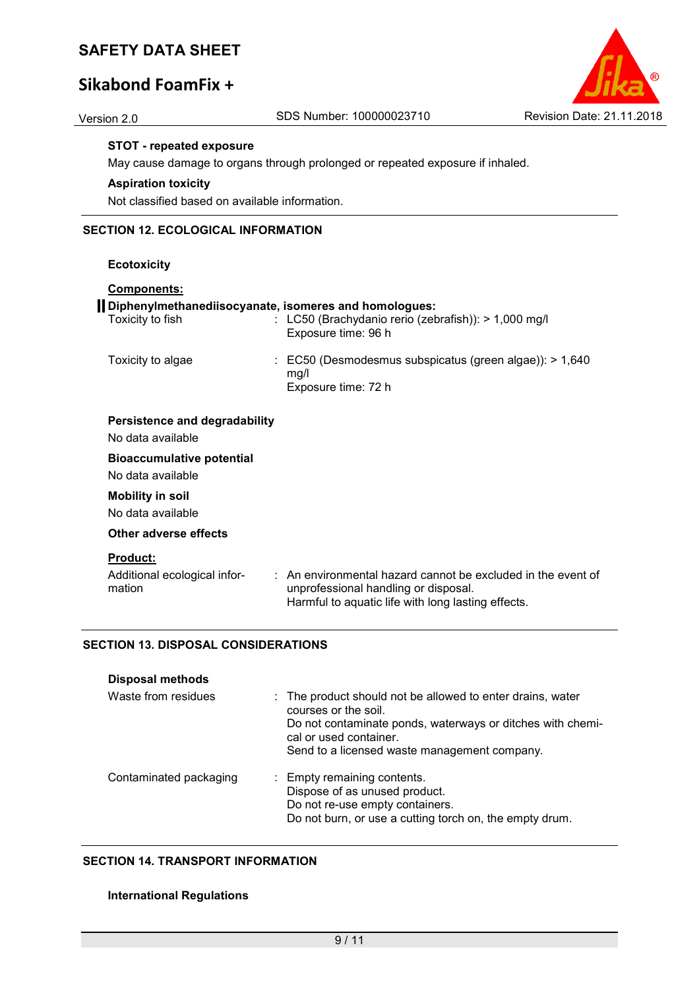# **Sikabond FoamFix +**

## **STOT - repeated exposure**

May cause damage to organs through prolonged or repeated exposure if inhaled.

# **Aspiration toxicity**

Not classified based on available information.

# **SECTION 12. ECOLOGICAL INFORMATION**

**Ecotoxicity** 

| Components:                                                               |                                                                                                                                                                       |
|---------------------------------------------------------------------------|-----------------------------------------------------------------------------------------------------------------------------------------------------------------------|
| Diphenylmethanediisocyanate, isomeres and homologues:<br>Toxicity to fish | : LC50 (Brachydanio rerio (zebrafish)): $> 1,000$ mg/l<br>Exposure time: 96 h                                                                                         |
| Toxicity to algae                                                         | $\therefore$ EC50 (Desmodesmus subspicatus (green algae)): > 1,640<br>mq/l<br>Exposure time: 72 h                                                                     |
| Persistence and degradability<br>No data available                        |                                                                                                                                                                       |
| <b>Bioaccumulative potential</b><br>No data available                     |                                                                                                                                                                       |
| <b>Mobility in soil</b><br>No data available                              |                                                                                                                                                                       |
| Other adverse effects                                                     |                                                                                                                                                                       |
| <b>Product:</b>                                                           |                                                                                                                                                                       |
| Additional ecological infor-<br>mation                                    | $\therefore$ An environmental hazard cannot be excluded in the event of<br>unprofessional handling or disposal.<br>Harmful to aquatic life with long lasting effects. |

## **SECTION 13. DISPOSAL CONSIDERATIONS**

| Disposal methods       |                                                                                                                                                                                                                            |
|------------------------|----------------------------------------------------------------------------------------------------------------------------------------------------------------------------------------------------------------------------|
| Waste from residues    | : The product should not be allowed to enter drains, water<br>courses or the soil.<br>Do not contaminate ponds, waterways or ditches with chemi-<br>cal or used container.<br>Send to a licensed waste management company. |
| Contaminated packaging | : Empty remaining contents.<br>Dispose of as unused product.<br>Do not re-use empty containers.<br>Do not burn, or use a cutting torch on, the empty drum.                                                                 |

#### **SECTION 14. TRANSPORT INFORMATION**

#### **International Regulations**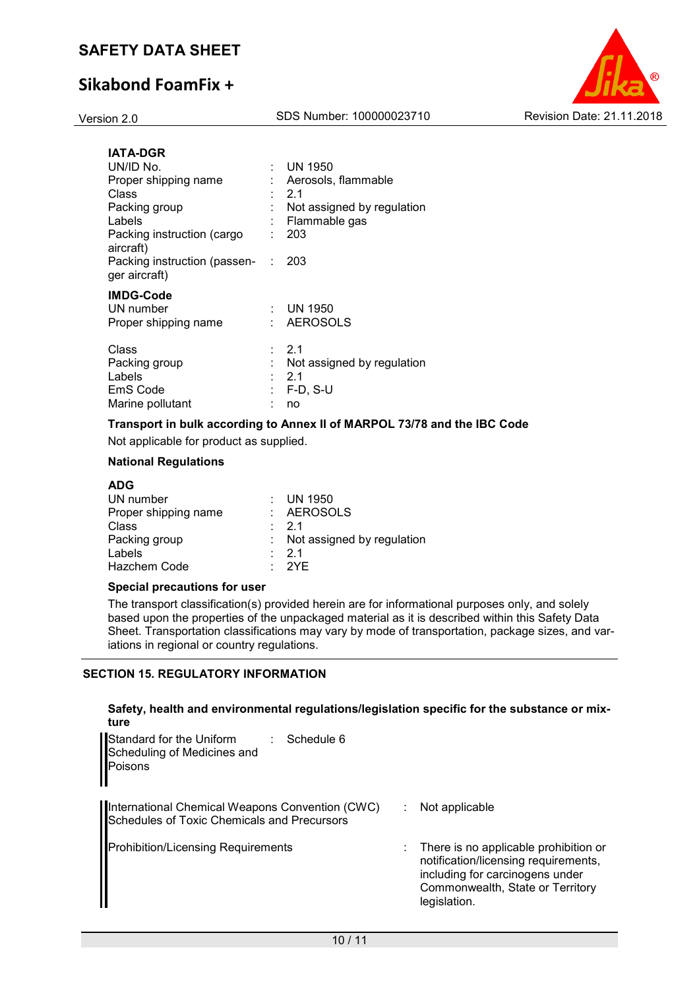# **Sikabond FoamFix +**



| <b>IATA-DGR</b><br>UN/ID No.<br>Proper shipping name<br>Class<br>Packing group<br>Labels<br>Packing instruction (cargo<br>aircraft)<br>Packing instruction (passen-<br>ger aircraft) | ÷<br>÷ | UN 1950<br>Aerosols, flammable<br>21<br>Not assigned by regulation<br>Flammable gas<br>203<br>203 |
|--------------------------------------------------------------------------------------------------------------------------------------------------------------------------------------|--------|---------------------------------------------------------------------------------------------------|
| <b>IMDG-Code</b><br>UN number<br>Proper shipping name                                                                                                                                |        | <b>UN 1950</b><br><b>AEROSOLS</b>                                                                 |
| Class<br>Packing group<br>Labels<br>EmS Code<br>Marine pollutant                                                                                                                     |        | 2.1<br>Not assigned by regulation<br>2.1<br>$F-D, S-U$<br>no                                      |

#### **Transport in bulk according to Annex II of MARPOL 73/78 and the IBC Code**

Not applicable for product as supplied.

## **National Regulations**

| UN 1950                      |
|------------------------------|
| : AEROSOLS                   |
| $\cdot$ 21                   |
| : Not assigned by regulation |
| $\cdot$ 21                   |
| · 2YF                        |
|                              |

## **Special precautions for user**

The transport classification(s) provided herein are for informational purposes only, and solely based upon the properties of the unpackaged material as it is described within this Safety Data Sheet. Transportation classifications may vary by mode of transportation, package sizes, and variations in regional or country regulations.

## **SECTION 15. REGULATORY INFORMATION**

#### **Safety, health and environmental regulations/legislation specific for the substance or mixture**

| Standard for the Uniform<br>Schedule 6<br>Scheduling of Medicines and<br>Poisons               |                                                                                                                                                                      |  |
|------------------------------------------------------------------------------------------------|----------------------------------------------------------------------------------------------------------------------------------------------------------------------|--|
| International Chemical Weapons Convention (CWC)<br>Schedules of Toxic Chemicals and Precursors | Not applicable                                                                                                                                                       |  |
| <b>Prohibition/Licensing Requirements</b>                                                      | There is no applicable prohibition or<br>notification/licensing requirements,<br>including for carcinogens under<br>Commonwealth, State or Territory<br>legislation. |  |